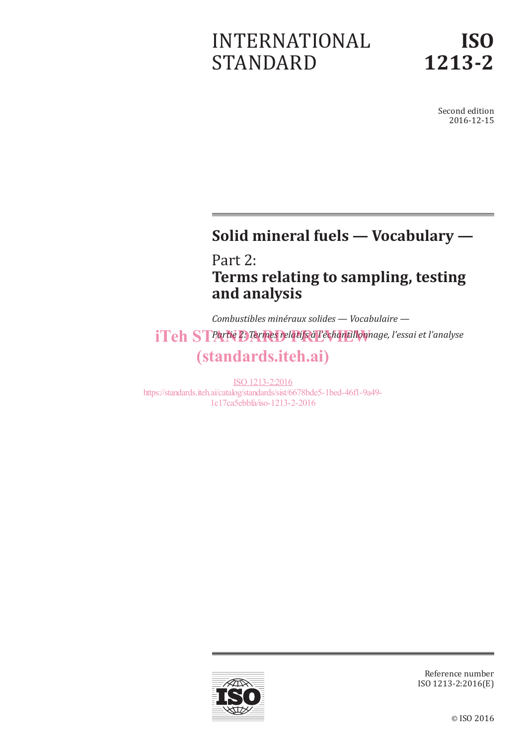# INTERNATIONAL STANDARD

Second edition 2016-12-15

# **Solid mineral fuels — Vocabulary —**

Part 2: **Terms relating to sampling, testing and analysis**

*Combustibles minéraux solides — Vocabulaire*  iTeh STPartie 2. Termes relatifs à l'échantillonnage, l'essai et l'analyse (standards.iteh.ai)

ISO 1213-2:2016 https://standards.iteh.ai/catalog/standards/sist/6678bde5-1bed-46f1-9a49- 1c17ca5ebbfa/iso-1213-2-2016



Reference number ISO 1213-2:2016(E)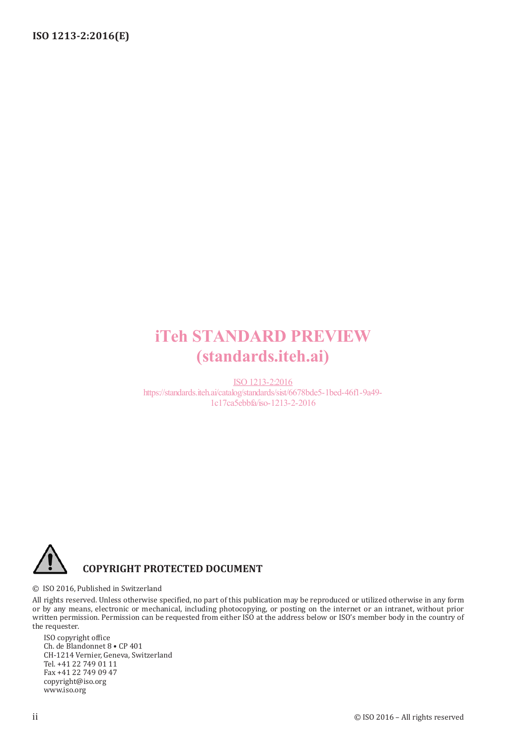# iTeh STANDARD PREVIEW (standards.iteh.ai)

ISO 1213-2:2016 https://standards.iteh.ai/catalog/standards/sist/6678bde5-1bed-46f1-9a49- 1c17ca5ebbfa/iso-1213-2-2016



#### © ISO 2016, Published in Switzerland

All rights reserved. Unless otherwise specified, no part of this publication may be reproduced or utilized otherwise in any form or by any means, electronic or mechanical, including photocopying, or posting on the internet or an intranet, without prior written permission. Permission can be requested from either ISO at the address below or ISO's member body in the country of the requester.

ISO copyright office Ch. de Blandonnet 8 • CP 401 CH-1214 Vernier, Geneva, Switzerland Tel. +41 22 749 01 11 Fax +41 22 749 09 47 copyright@iso.org www.iso.org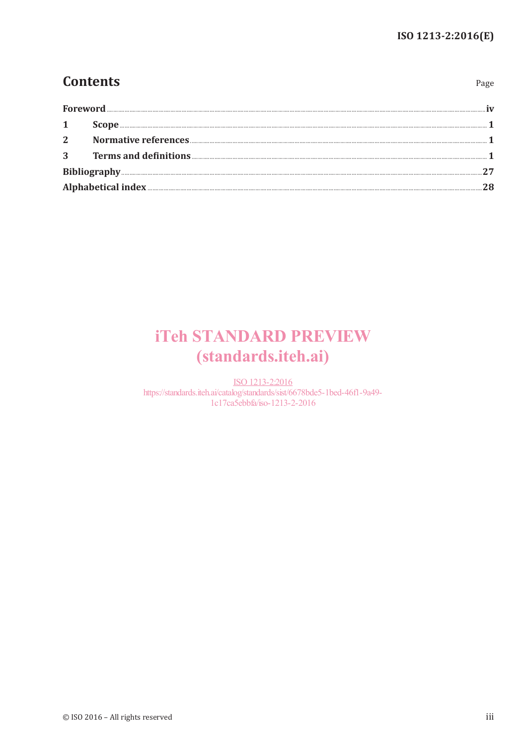Page

### **Contents**

| Foreword     |  |  |  |
|--------------|--|--|--|
|              |  |  |  |
| $\mathbf{1}$ |  |  |  |
| $2^{\circ}$  |  |  |  |
| 3            |  |  |  |
|              |  |  |  |
|              |  |  |  |

# **iTeh STANDARD PREVIEW** (standards.iteh.ai)

ISO 1213-2:2016 https://standards.iteh.ai/catalog/standards/sist/6678bde5-1bed-46f1-9a49-1c17ca5ebbfa/iso-1213-2-2016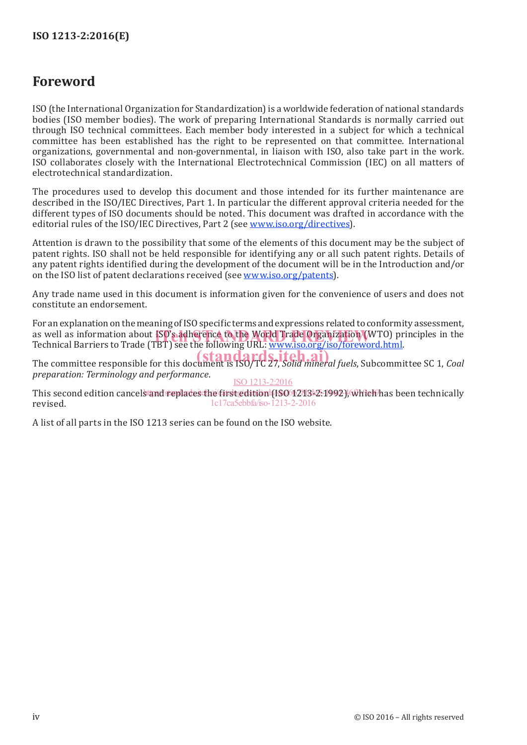### **Foreword**

ISO (the International Organization for Standardization) is a worldwide federation of national standards bodies (ISO member bodies). The work of preparing International Standards is normally carried out through ISO technical committees. Each member body interested in a subject for which a technical committee has been established has the right to be represented on that committee. International organizations, governmental and non-governmental, in liaison with ISO, also take part in the work. ISO collaborates closely with the International Electrotechnical Commission (IEC) on all matters of electrotechnical standardization.

The procedures used to develop this document and those intended for its further maintenance are described in the ISO/IEC Directives, Part 1. In particular the different approval criteria needed for the different types of ISO documents should be noted. This document was drafted in accordance with the editorial rules of the ISO/IEC Directives, Part 2 (see www.iso.org/directives).

Attention is drawn to the possibility that some of the elements of this document may be the subject of patent rights. ISO shall not be held responsible for identifying any or all such patent rights. Details of any patent rights identified during the development of the document will be in the Introduction and/or on the ISO list of patent declarations received (see www.iso.org/patents).

Any trade name used in this document is information given for the convenience of users and does not constitute an endorsement.

For an explanation on the meaning of ISO specific terms and expressions related to conformity assessment, as well as information about ISO's adherence to the World Trade Organization (WTO) principles in the<br>Technical Barriers to Trade (TBT) see the following URL: www.iso.org/iso/foreword.html Technical Barriers to Trade (TBT) see the following URL: www.iso.org/iso/foreword.html.

The committee responsible for this document is ISO/TC 27, *Solid mineral fuels*, Subcommittee SC 1, *Coal* **Committee** SC 1, *Coal preparation: Terminology and performance*. ISO 1213-2:2016

This second edition cancels and replaces the first edition (ISO 1213-2-1992), which has been technically revised. 1c17ca5ebbfa/iso-1213-2-2016

A list of all parts in the ISO 1213 series can be found on the ISO website.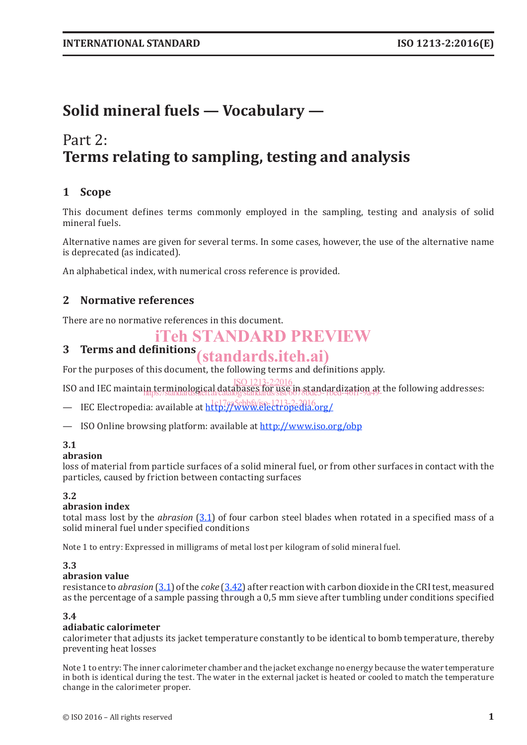# **Solid mineral fuels — Vocabulary —**

### Part 2: **Terms relating to sampling, testing and analysis**

### **1 Scope**

This document defines terms commonly employed in the sampling, testing and analysis of solid mineral fuels.

Alternative names are given for several terms. In some cases, however, the use of the alternative name is deprecated (as indicated).

An alphabetical index, with numerical cross reference is provided.

### **2 Normative references**

There are no normative references in this document.

### iTeh STANDARD PREVIEW

# **3 Terms and definitions** (standards.iteh.ai)

For the purposes of this document, the following terms and definitions apply.

ISO and IEC maintain terminological databases for use in standardization at the following addresses: ISO 1213-2:2016 https://standards.iteh.ai/catalog/standards/sist/6678bde5-1bed-46f1-9a49-

— IEC Electropedia: available at http://www.electropedia.org/

— ISO Online browsing platform: available at http://www.iso.org/obp

#### **3.1**

#### **abrasion**

loss of material from particle surfaces of a solid mineral fuel, or from other surfaces in contact with the particles, caused by friction between contacting surfaces

#### **3.2**

#### **abrasion index**

total mass lost by the *abrasion* (3.1) of four carbon steel blades when rotated in a specified mass of a solid mineral fuel under specified conditions

Note 1 to entry: Expressed in milligrams of metal lost per kilogram of solid mineral fuel.

#### **3.3**

#### **abrasion value**

resistance to *abrasion* (3.1) of the *coke* (3.42) after reaction with carbon dioxide in the CRI test, measured as the percentage of a sample passing through a 0,5 mm sieve after tumbling under conditions specified

#### **3.4**

#### **adiabatic calorimeter**

calorimeter that adjusts its jacket temperature constantly to be identical to bomb temperature, thereby preventing heat losses

Note 1 to entry: The inner calorimeter chamber and the jacket exchange no energy because the water temperature in both is identical during the test. The water in the external jacket is heated or cooled to match the temperature change in the calorimeter proper.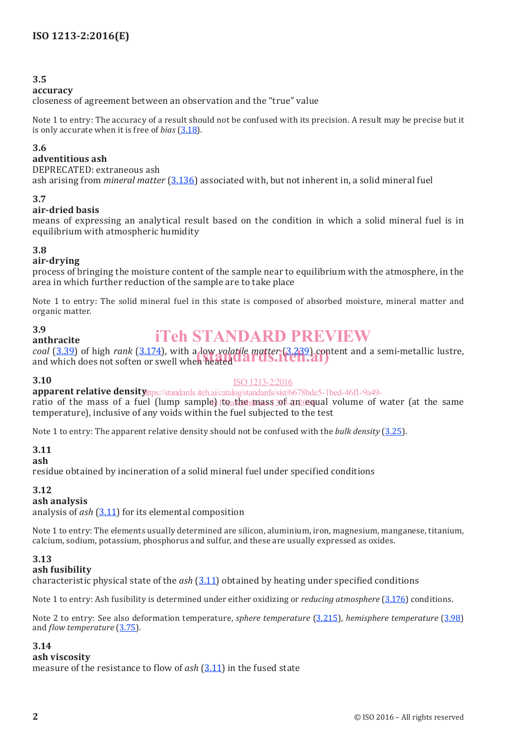#### **accuracy**

closeness of agreement between an observation and the "true" value

Note 1 to entry: The accuracy of a result should not be confused with its precision. A result may be precise but it is only accurate when it is free of *bias* (3.18).

#### **3.6**

#### **adventitious ash**

DEPRECATED: extraneous ash ash arising from *mineral matter* (3.136) associated with, but not inherent in, a solid mineral fuel

#### **3.7**

#### **air-dried basis**

means of expressing an analytical result based on the condition in which a solid mineral fuel is in equilibrium with atmospheric humidity

#### **3.8**

#### **air-drying**

**anthracite**

process of bringing the moisture content of the sample near to equilibrium with the atmosphere, in the area in which further reduction of the sample are to take place

Note 1 to entry: The solid mineral fuel in this state is composed of absorbed moisture, mineral matter and organic matter.

#### **3.9**

### iTeh STANDARD PREVIEW

*coal* (3.39) of high *rank* (3.174), with a low *volatile matter* (3.239) content and a semi-metallic lustre, coal (3.39) of high *rank* (3.174), with a low yolatile matter (3.239) contained and which does not soften or swell when heated

#### **3.10**

#### ISO 1213-2:2016

**apparent relative density** the s//standards.iteh.ai/catalog/standards/sist/6678bde5-1bed-46f1-9a49-

ratio of the mass of a fuel (lump sample) to the mass of an equal volume of water (at the same temperature), inclusive of any voids within the fuel subjected to the test

Note 1 to entry: The apparent relative density should not be confused with the *bulk density* (3.25).

#### **3.11**

#### **ash**

residue obtained by incineration of a solid mineral fuel under specified conditions

#### **3.12**

#### **ash analysis**

analysis of *ash* (3.11) for its elemental composition

Note 1 to entry: The elements usually determined are silicon, aluminium, iron, magnesium, manganese, titanium, calcium, sodium, potassium, phosphorus and sulfur, and these are usually expressed as oxides.

#### **3.13**

#### **ash fusibility**

characteristic physical state of the *ash* (3.11) obtained by heating under specified conditions

Note 1 to entry: Ash fusibility is determined under either oxidizing or *reducing atmosphere* (3.176) conditions.

Note 2 to entry: See also deformation temperature, *sphere temperature* (3.215), *hemisphere temperature* (3.98) and *flow temperature* (3.75).

#### **3.14**

#### **ash viscosity**

measure of the resistance to flow of *ash* (3.11) in the fused state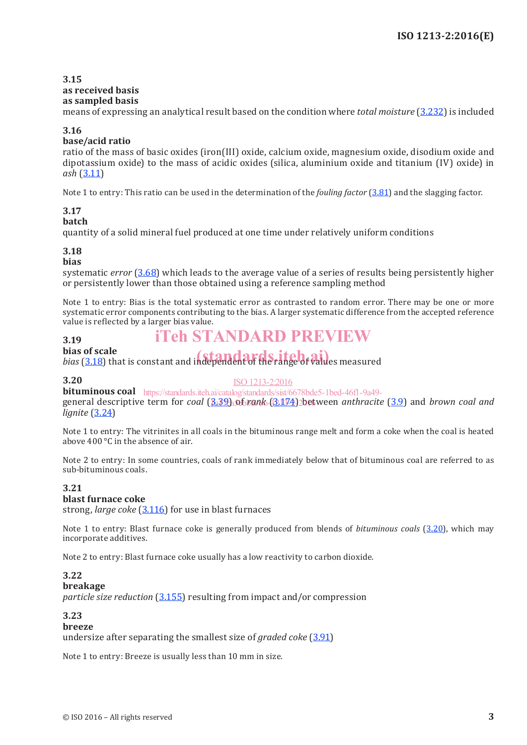#### **3.15 as received basis as sampled basis**

means of expressing an analytical result based on the condition where *total moisture* (3.232) is included

#### **3.16**

#### **base/acid ratio**

ratio of the mass of basic oxides (iron(III) oxide, calcium oxide, magnesium oxide, disodium oxide and dipotassium oxide) to the mass of acidic oxides (silica, aluminium oxide and titanium (IV) oxide) in *ash* (3.11)

Note 1 to entry: This ratio can be used in the determination of the *fouling factor* (3.81) and the slagging factor.

### **3.17**

**batch**

quantity of a solid mineral fuel produced at one time under relatively uniform conditions

#### **3.18**

#### **bias**

systematic *error* (3.68) which leads to the average value of a series of results being persistently higher or persistently lower than those obtained using a reference sampling method

Note 1 to entry: Bias is the total systematic error as contrasted to random error. There may be one or more systematic error components contributing to the bias. A larger systematic difference from the accepted reference value is reflected by a larger bias value.

### iTeh STANDARD PREVIEW

#### **3.19 bias of scale**

**bias of scale**<br>*bias* (3.18) that is constant and independent of the range of values measured

#### **3.20**

ISO 1213-2:2016

**bituminous coal** https://standards.iteh.ai/catalog/standards/sist/6678bde5-1bed-46f1-9a49-

general descriptive term for *coal* (B.32) of *rank* (3.174) between *anthracite* (3.9) and *brown coal and lignite* (3.24)

Note 1 to entry: The vitrinites in all coals in the bituminous range melt and form a coke when the coal is heated above 400 °C in the absence of air.

Note 2 to entry: In some countries, coals of rank immediately below that of bituminous coal are referred to as sub-bituminous coals.

#### **3.21**

#### **blast furnace coke**

strong, *large coke* (3.116) for use in blast furnaces

Note 1 to entry: Blast furnace coke is generally produced from blends of *bituminous coals* (3.20), which may incorporate additives.

Note 2 to entry: Blast furnace coke usually has a low reactivity to carbon dioxide.

#### **3.22**

#### **breakage**

*particle size reduction* (3.155) resulting from impact and/or compression

#### **3.23**

#### **breeze**

undersize after separating the smallest size of *graded coke* (3.91)

Note 1 to entry: Breeze is usually less than 10 mm in size.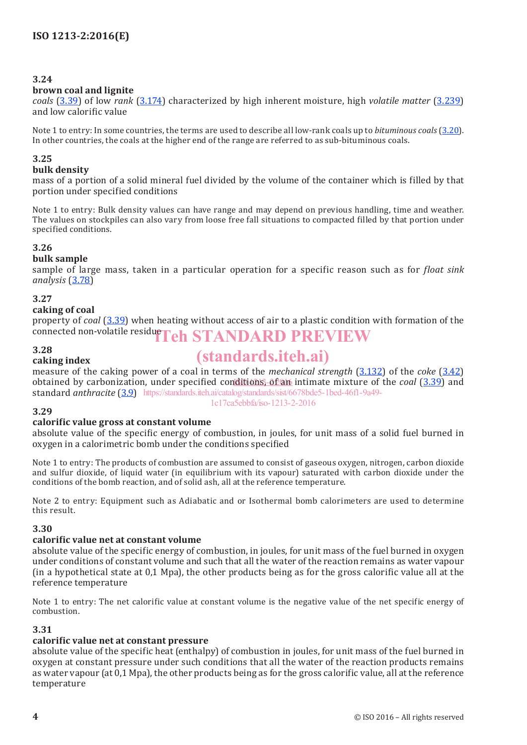#### **brown coal and lignite**

*coals* (3.39) of low *rank* (3.174) characterized by high inherent moisture, high *volatile matter* (3.239) and low calorific value

Note 1 to entry: In some countries, the terms are used to describe all low-rank coals up to *bituminous coals* (3.20). In other countries, the coals at the higher end of the range are referred to as sub-bituminous coals.

#### **3.25**

#### **bulk density**

mass of a portion of a solid mineral fuel divided by the volume of the container which is filled by that portion under specified conditions

Note 1 to entry: Bulk density values can have range and may depend on previous handling, time and weather. The values on stockpiles can also vary from loose free fall situations to compacted filled by that portion under specified conditions.

#### **3.26**

#### **bulk sample**

sample of large mass, taken in a particular operation for a specific reason such as for *float sink analysis* (3.78)

#### **3.27**

#### **caking of coal**

**caking index**

property of *coal* (3.39) when heating without access of air to a plastic condition with formation of the connected non-volatile residue ${\bf Teh~STANDARD~PREVIEW}$ 

#### **3.28**

# (standards.iteh.ai)

measure of the caking power of a coal in terms of the *mechanical strength* (3.132) of the *coke* (3.42) obtained by carbonization, under specified conditions, of an intimate mixture of the *coal* (3.39) and standard *anthracite* (3.9) https://standards.iteh.ai/catalog/standards/sist/6678bde5-1bed-46f1-9a49- 1c17ca5ebbfa/iso-1213-2-2016

#### **3.29**

#### **calorific value gross at constant volume**

absolute value of the specific energy of combustion, in joules, for unit mass of a solid fuel burned in oxygen in a calorimetric bomb under the conditions specified

Note 1 to entry: The products of combustion are assumed to consist of gaseous oxygen, nitrogen, carbon dioxide and sulfur dioxide, of liquid water (in equilibrium with its vapour) saturated with carbon dioxide under the conditions of the bomb reaction, and of solid ash, all at the reference temperature.

Note 2 to entry: Equipment such as Adiabatic and or Isothermal bomb calorimeters are used to determine this result.

#### **3.30**

#### **calorific value net at constant volume**

absolute value of the specific energy of combustion, in joules, for unit mass of the fuel burned in oxygen under conditions of constant volume and such that all the water of the reaction remains as water vapour (in a hypothetical state at 0,1 Mpa), the other products being as for the gross calorific value all at the reference temperature

Note 1 to entry: The net calorific value at constant volume is the negative value of the net specific energy of combustion.

#### **3.31**

#### **calorific value net at constant pressure**

absolute value of the specific heat (enthalpy) of combustion in joules, for unit mass of the fuel burned in oxygen at constant pressure under such conditions that all the water of the reaction products remains as water vapour (at 0,1 Mpa), the other products being as for the gross calorific value, all at the reference temperature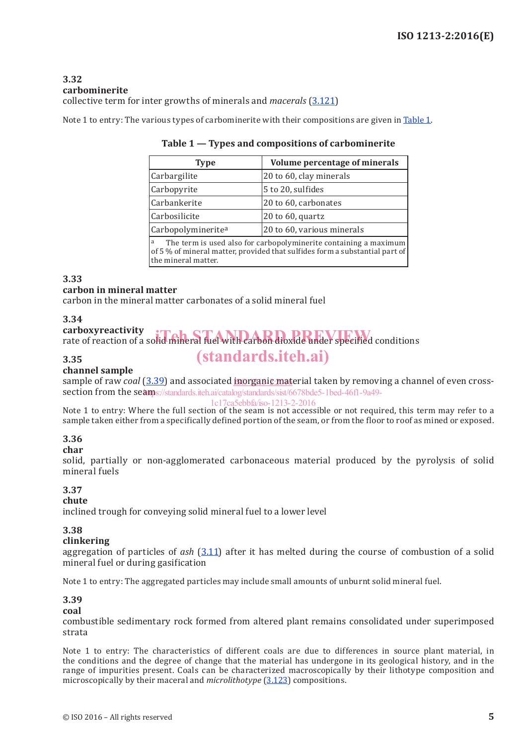#### **3.32 carbominerite** collective term for inter growths of minerals and *macerals* (3.121)

Note 1 to entry: The various types of carbominerite with their compositions are given in Table 1.

| Type                                                                                                                                                                        | Volume percentage of minerals |  |  |
|-----------------------------------------------------------------------------------------------------------------------------------------------------------------------------|-------------------------------|--|--|
| Carbargilite                                                                                                                                                                | 20 to 60, clay minerals       |  |  |
| Carbopyrite                                                                                                                                                                 | 5 to 20, sulfides             |  |  |
| Carbankerite                                                                                                                                                                | 20 to 60, carbonates          |  |  |
| Carbosilicite                                                                                                                                                               | $20$ to $60$ , quartz         |  |  |
| Carbopolymineritea                                                                                                                                                          | 20 to 60, various minerals    |  |  |
| The term is used also for carbopolyminerite containing a maximum<br>a<br>of 5 % of mineral matter, provided that sulfides form a substantial part of<br>the mineral matter. |                               |  |  |

#### **Table 1 — Types and compositions of carbominerite**

**3.33**

#### **carbon in mineral matter**

carbon in the mineral matter carbonates of a solid mineral fuel

#### **3.34**

#### **carboxyreactivity** carboxyreactivity<br>rate of reaction of a solid mineral fuel with carbon dioxide under specified conditions (standards.iteh.ai)

#### **3.35**

#### **channel sample**

sample of raw *coal* (3.39) and associated **inorganic mat**erial taken by removing a channel of even crosssection from the seamps://standards.iteh.ai/catalog/standards/sist/6678bde5-1bed-46f1-9a49-

#### 1c17ca5ebbfa/iso-1213-2-2016

Note 1 to entry: Where the full section of the seam is not accessible or not required, this term may refer to a sample taken either from a specifically defined portion of the seam, or from the floor to roof as mined or exposed.

#### **3.36**

#### **char**

solid, partially or non-agglomerated carbonaceous material produced by the pyrolysis of solid mineral fuels

#### **3.37**

#### **chute**

inclined trough for conveying solid mineral fuel to a lower level

#### **3.38**

#### **clinkering**

aggregation of particles of *ash* (3.11) after it has melted during the course of combustion of a solid mineral fuel or during gasification

Note 1 to entry: The aggregated particles may include small amounts of unburnt solid mineral fuel.

#### **3.39**

#### **coal**

combustible sedimentary rock formed from altered plant remains consolidated under superimposed strata

Note 1 to entry: The characteristics of different coals are due to differences in source plant material, in the conditions and the degree of change that the material has undergone in its geological history, and in the range of impurities present. Coals can be characterized macroscopically by their lithotype composition and microscopically by their maceral and *microlithotype* (3.123) compositions.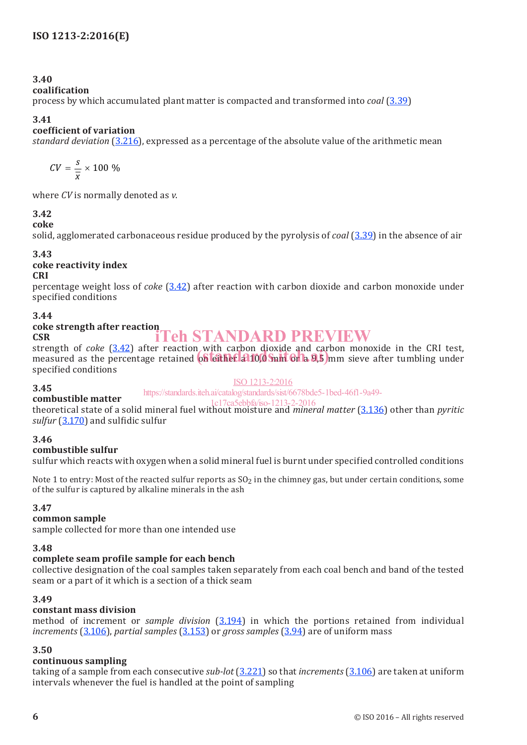#### **coalification**

process by which accumulated plant matter is compacted and transformed into *coal* (3.39)

#### **3.41**

#### **coefficient of variation**

*standard deviation* (3.216), expressed as a percentage of the absolute value of the arithmetic mean

$$
CV = \frac{s}{\overline{x}} \times 100\%
$$

where *CV* is normally denoted as *v*.

#### **3.42**

#### **coke**

solid, agglomerated carbonaceous residue produced by the pyrolysis of *coal* (3.39) in the absence of air

#### **3.43**

### **coke reactivity index**

#### **CRI**

percentage weight loss of *coke* (3.42) after reaction with carbon dioxide and carbon monoxide under specified conditions

#### **3.44**

#### **coke strength after reaction CSR** iTeh STANDARD PREVIEW

strength of *coke* (3.42) after reaction with carbon dioxide and carbon monoxide in the CRI test, strength of *coke* (3.42) after reaction with carbon qioxide and carbon monoxide in the CRI test,<br>measured as the percentage retained on either a 10,0 mm or a 9,5 mm sieve after tumbling under specified conditions

#### ISO 1213-2:2016

#### https://standards.iteh.ai/catalog/standards/sist/6678bde5-1bed-46f1-9a49-

#### **combustible matter**

1c17ca5ebbfa/iso-1213-2-2016

theoretical state of a solid mineral fuel without moisture and *mineral matter* (3.136) other than *pyritic sulfur* (3.170) and sulfidic sulfur

#### **3.46**

**3.45**

#### **combustible sulfur**

sulfur which reacts with oxygen when a solid mineral fuel is burnt under specified controlled conditions

Note 1 to entry: Most of the reacted sulfur reports as  $S_2$  in the chimney gas, but under certain conditions, some of the sulfur is captured by alkaline minerals in the ash

#### **3.47**

#### **common sample**

sample collected for more than one intended use

#### **3.48**

#### **complete seam profile sample for each bench**

collective designation of the coal samples taken separately from each coal bench and band of the tested seam or a part of it which is a section of a thick seam

#### **3.49**

#### **constant mass division**

method of increment or *sample division* (3.194) in which the portions retained from individual *increments* (3.106), *partial samples* (3.153) or *gross samples* (3.94) are of uniform mass

#### **3.50**

#### **continuous sampling**

taking of a sample from each consecutive *sub-lot* (3.221) so that *increments* (3.106) are taken at uniform intervals whenever the fuel is handled at the point of sampling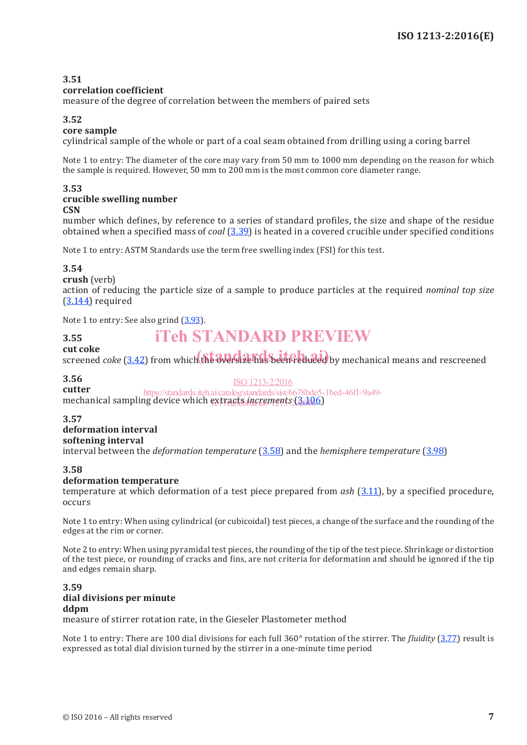#### **correlation coefficient**

measure of the degree of correlation between the members of paired sets

#### **3.52**

#### **core sample**

cylindrical sample of the whole or part of a coal seam obtained from drilling using a coring barrel

Note 1 to entry: The diameter of the core may vary from 50 mm to 1000 mm depending on the reason for which the sample is required. However, 50 mm to 200 mm is the most common core diameter range.

#### **3.53 crucible swelling number**

**CSN**

number which defines, by reference to a series of standard profiles, the size and shape of the residue obtained when a specified mass of *coal* (3.39) is heated in a covered crucible under specified conditions

Note 1 to entry: ASTM Standards use the term free swelling index (FSI) for this test.

#### **3.54**

**crush** (verb)

action of reducing the particle size of a sample to produce particles at the required *nominal top size* (3.144) required

Note 1 to entry: See also grind (3.93).

## iTeh STANDARD PREVIEW

#### **3.55 cut coke**

**cut coke**<br>screened *coke* (3.42) from which the oversize has been reduced by mechanical means and rescreened

#### **3.56**

**cutter** mechanical sampling device which extracts *increments* (3.106) ISO 1213-2:2016 https://standards.iteh.ai/catalog/standards/sist/6678bde5-1bed-46f1-9a49-

#### **3.57**

#### **deformation interval softening interval**

interval between the *deformation temperature* (3.58) and the *hemisphere temperature* (3.98)

#### **3.58**

#### **deformation temperature**

temperature at which deformation of a test piece prepared from *ash* (3.11), by a specified procedure, occurs

Note 1 to entry: When using cylindrical (or cubicoidal) test pieces, a change of the surface and the rounding of the edges at the rim or corner.

Note 2 to entry: When using pyramidal test pieces, the rounding of the tip of the test piece. Shrinkage or distortion of the test piece, or rounding of cracks and fins, are not criteria for deformation and should be ignored if the tip and edges remain sharp.

#### **3.59 dial divisions per minute ddpm**

measure of stirrer rotation rate, in the Gieseler Plastometer method

Note 1 to entry: There are 100 dial divisions for each full 360° rotation of the stirrer. The *fluidity* (3.77) result is expressed as total dial division turned by the stirrer in a one-minute time period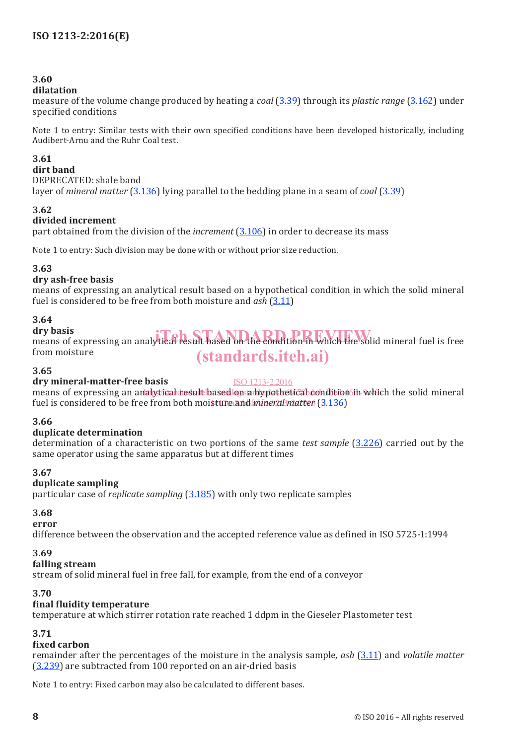#### **dilatation**

measure of the volume change produced by heating a *coal* (3.39) through its *plastic range* (3.162) under specified conditions

Note 1 to entry: Similar tests with their own specified conditions have been developed historically, including Audibert-Arnu and the Ruhr Coal test.

#### **3.61**

#### **dirt band**

DEPRECATED: shale band

layer of *mineral matter* (3.136) lying parallel to the bedding plane in a seam of *coal* (3.39)

#### **3.62**

#### **divided increment**

part obtained from the division of the *increment* (3.106) in order to decrease its mass

Note 1 to entry: Such division may be done with or without prior size reduction.

#### **3.63**

#### **dry ash-free basis**

means of expressing an analytical result based on a hypothetical condition in which the solid mineral fuel is considered to be free from both moisture and *ash* (3.11)

#### **3.64**

#### **dry basis** dry basis<br>means of expressing an analytical result based on the condition in which the solid mineral fuel is free from moisture (standards.iteh.ai)

#### **3.65**

#### **dry mineral-matter-free basis**

ISO 1213-2:2016

means of expressing an analytical tesult based lon a hypothetical condition in which the solid mineral fuel is considered to be free from both moi<mark>sture and *mineral matter* (3.136)</mark>

#### **3.66**

#### **duplicate determination**

determination of a characteristic on two portions of the same *test sample* (3.226) carried out by the same operator using the same apparatus but at different times

#### **3.67**

#### **duplicate sampling**

particular case of *replicate sampling* (3.185) with only two replicate samples

#### **3.68**

**error**

difference between the observation and the accepted reference value as defined in ISO 5725-1:1994

#### **3.69**

#### **falling stream**

stream of solid mineral fuel in free fall, for example, from the end of a conveyor

#### **3.70**

#### **final fluidity temperature**

temperature at which stirrer rotation rate reached 1 ddpm in the Gieseler Plastometer test

#### **3.71**

#### **fixed carbon**

remainder after the percentages of the moisture in the analysis sample, *ash* (3.11) and *volatile matter* (3.239) are subtracted from 100 reported on an air-dried basis

Note 1 to entry: Fixed carbon may also be calculated to different bases.